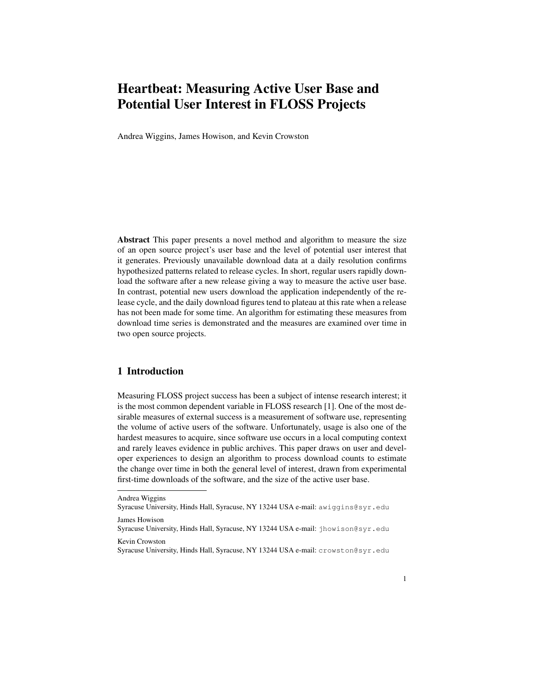# Heartbeat: Measuring Active User Base and Potential User Interest in FLOSS Projects

Andrea Wiggins, James Howison, and Kevin Crowston

Abstract This paper presents a novel method and algorithm to measure the size of an open source project's user base and the level of potential user interest that it generates. Previously unavailable download data at a daily resolution confirms hypothesized patterns related to release cycles. In short, regular users rapidly download the software after a new release giving a way to measure the active user base. In contrast, potential new users download the application independently of the release cycle, and the daily download figures tend to plateau at this rate when a release has not been made for some time. An algorithm for estimating these measures from download time series is demonstrated and the measures are examined over time in two open source projects.

# 1 Introduction

Measuring FLOSS project success has been a subject of intense research interest; it is the most common dependent variable in FLOSS research [1]. One of the most desirable measures of external success is a measurement of software use, representing the volume of active users of the software. Unfortunately, usage is also one of the hardest measures to acquire, since software use occurs in a local computing context and rarely leaves evidence in public archives. This paper draws on user and developer experiences to design an algorithm to process download counts to estimate the change over time in both the general level of interest, drawn from experimental first-time downloads of the software, and the size of the active user base.

James Howison

Kevin Crowston

Andrea Wiggins

Syracuse University, Hinds Hall, Syracuse, NY 13244 USA e-mail: awiggins@syr.edu

Syracuse University, Hinds Hall, Syracuse, NY 13244 USA e-mail: jhowison@syr.edu

Syracuse University, Hinds Hall, Syracuse, NY 13244 USA e-mail: crowston@syr.edu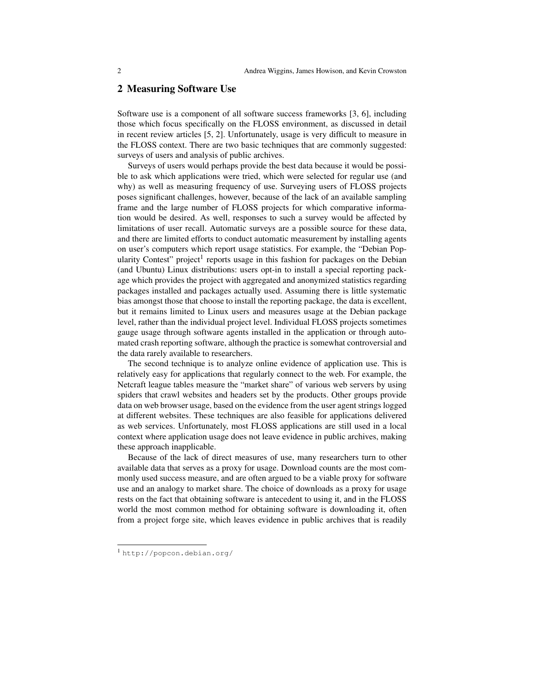#### 2 Measuring Software Use

Software use is a component of all software success frameworks [3, 6], including those which focus specifically on the FLOSS environment, as discussed in detail in recent review articles [5, 2]. Unfortunately, usage is very difficult to measure in the FLOSS context. There are two basic techniques that are commonly suggested: surveys of users and analysis of public archives.

Surveys of users would perhaps provide the best data because it would be possible to ask which applications were tried, which were selected for regular use (and why) as well as measuring frequency of use. Surveying users of FLOSS projects poses significant challenges, however, because of the lack of an available sampling frame and the large number of FLOSS projects for which comparative information would be desired. As well, responses to such a survey would be affected by limitations of user recall. Automatic surveys are a possible source for these data, and there are limited efforts to conduct automatic measurement by installing agents on user's computers which report usage statistics. For example, the "Debian Popularity Contest" project<sup>1</sup> reports usage in this fashion for packages on the Debian (and Ubuntu) Linux distributions: users opt-in to install a special reporting package which provides the project with aggregated and anonymized statistics regarding packages installed and packages actually used. Assuming there is little systematic bias amongst those that choose to install the reporting package, the data is excellent, but it remains limited to Linux users and measures usage at the Debian package level, rather than the individual project level. Individual FLOSS projects sometimes gauge usage through software agents installed in the application or through automated crash reporting software, although the practice is somewhat controversial and the data rarely available to researchers.

The second technique is to analyze online evidence of application use. This is relatively easy for applications that regularly connect to the web. For example, the Netcraft league tables measure the "market share" of various web servers by using spiders that crawl websites and headers set by the products. Other groups provide data on web browser usage, based on the evidence from the user agent strings logged at different websites. These techniques are also feasible for applications delivered as web services. Unfortunately, most FLOSS applications are still used in a local context where application usage does not leave evidence in public archives, making these approach inapplicable.

Because of the lack of direct measures of use, many researchers turn to other available data that serves as a proxy for usage. Download counts are the most commonly used success measure, and are often argued to be a viable proxy for software use and an analogy to market share. The choice of downloads as a proxy for usage rests on the fact that obtaining software is antecedent to using it, and in the FLOSS world the most common method for obtaining software is downloading it, often from a project forge site, which leaves evidence in public archives that is readily

<sup>1</sup> http://popcon.debian.org/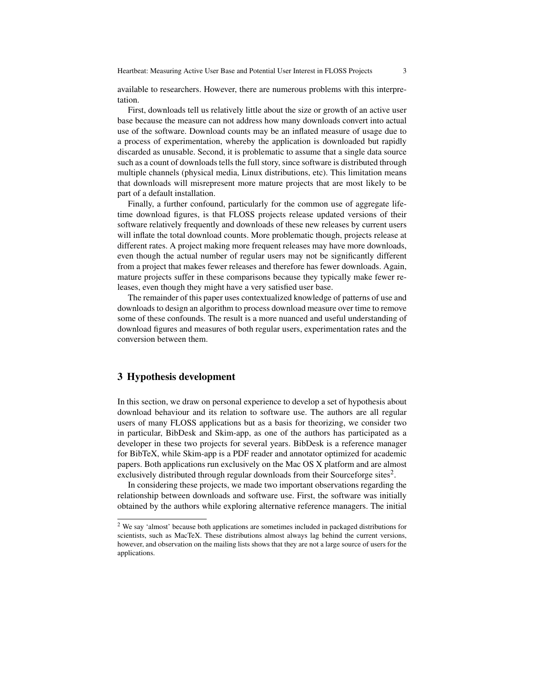available to researchers. However, there are numerous problems with this interpretation.

First, downloads tell us relatively little about the size or growth of an active user base because the measure can not address how many downloads convert into actual use of the software. Download counts may be an inflated measure of usage due to a process of experimentation, whereby the application is downloaded but rapidly discarded as unusable. Second, it is problematic to assume that a single data source such as a count of downloads tells the full story, since software is distributed through multiple channels (physical media, Linux distributions, etc). This limitation means that downloads will misrepresent more mature projects that are most likely to be part of a default installation.

Finally, a further confound, particularly for the common use of aggregate lifetime download figures, is that FLOSS projects release updated versions of their software relatively frequently and downloads of these new releases by current users will inflate the total download counts. More problematic though, projects release at different rates. A project making more frequent releases may have more downloads, even though the actual number of regular users may not be significantly different from a project that makes fewer releases and therefore has fewer downloads. Again, mature projects suffer in these comparisons because they typically make fewer releases, even though they might have a very satisfied user base.

The remainder of this paper uses contextualized knowledge of patterns of use and downloads to design an algorithm to process download measure over time to remove some of these confounds. The result is a more nuanced and useful understanding of download figures and measures of both regular users, experimentation rates and the conversion between them.

#### 3 Hypothesis development

In this section, we draw on personal experience to develop a set of hypothesis about download behaviour and its relation to software use. The authors are all regular users of many FLOSS applications but as a basis for theorizing, we consider two in particular, BibDesk and Skim-app, as one of the authors has participated as a developer in these two projects for several years. BibDesk is a reference manager for BibTeX, while Skim-app is a PDF reader and annotator optimized for academic papers. Both applications run exclusively on the Mac OS X platform and are almost exclusively distributed through regular downloads from their Sourceforge sites<sup>2</sup>.

In considering these projects, we made two important observations regarding the relationship between downloads and software use. First, the software was initially obtained by the authors while exploring alternative reference managers. The initial

<sup>2</sup> We say 'almost' because both applications are sometimes included in packaged distributions for scientists, such as MacTeX. These distributions almost always lag behind the current versions, however, and observation on the mailing lists shows that they are not a large source of users for the applications.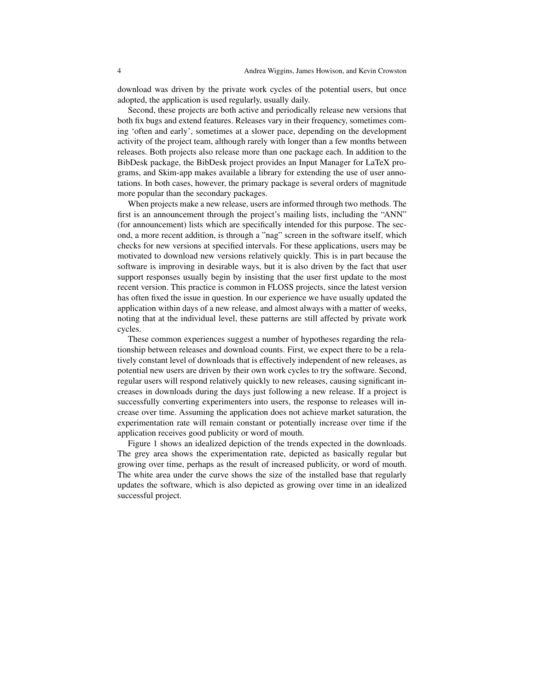download was driven by the private work cycles of the potential users, but once adopted, the application is used regularly, usually daily.

Second, these projects are both active and periodically release new versions that both fix bugs and extend features. Releases vary in their frequency, sometimes coming 'often and early', sometimes at a slower pace, depending on the development activity of the project team, although rarely with longer than a few months between releases. Both projects also release more than one package each. In addition to the BibDesk package, the BibDesk project provides an Input Manager for LaTeX programs, and Skim-app makes available a library for extending the use of user annotations. In both cases, however, the primary package is several orders of magnitude more popular than the secondary packages.

When projects make a new release, users are informed through two methods. The first is an announcement through the project's mailing lists, including the "ANN" (for announcement) lists which are specifically intended for this purpose. The second, a more recent addition, is through a "nag" screen in the software itself, which checks for new versions at specified intervals. For these applications, users may be motivated to download new versions relatively quickly. This is in part because the software is improving in desirable ways, but it is also driven by the fact that user support responses usually begin by insisting that the user first update to the most recent version. This practice is common in FLOSS projects, since the latest version has often fixed the issue in question. In our experience we have usually updated the application within days of a new release, and almost always with a matter of weeks, noting that at the individual level, these patterns are still affected by private work cycles.

These common experiences suggest a number of hypotheses regarding the relationship between releases and download counts. First, we expect there to be a relatively constant level of downloads that is effectively independent of new releases, as potential new users are driven by their own work cycles to try the software. Second, regular users will respond relatively quickly to new releases, causing significant increases in downloads during the days just following a new release. If a project is successfully converting experimenters into users, the response to releases will increase over time. Assuming the application does not achieve market saturation, the experimentation rate will remain constant or potentially increase over time if the application receives good publicity or word of mouth.

Figure 1 shows an idealized depiction of the trends expected in the downloads. The grey area shows the experimentation rate, depicted as basically regular but growing over time, perhaps as the result of increased publicity, or word of mouth. The white area under the curve shows the size of the installed base that regularly updates the software, which is also depicted as growing over time in an idealized successful project.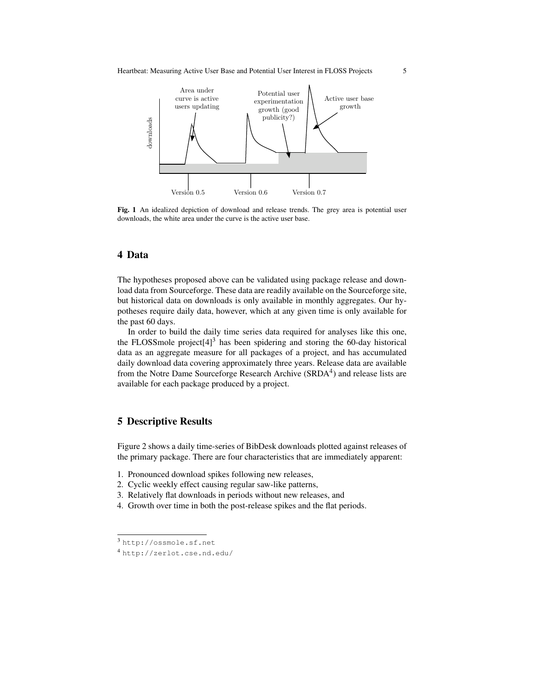

Fig. 1 An idealized depiction of download and release trends. The grey area is potential user downloads, the white area under the curve is the active user base.

## 4 Data

The hypotheses proposed above can be validated using package release and download data from Sourceforge. These data are readily available on the Sourceforge site, but historical data on downloads is only available in monthly aggregates. Our hypotheses require daily data, however, which at any given time is only available for the past 60 days.

In order to build the daily time series data required for analyses like this one, the FLOSS mole project  $[4]^3$  has been spidering and storing the 60-day historical data as an aggregate measure for all packages of a project, and has accumulated daily download data covering approximately three years. Release data are available from the Notre Dame Sourceforge Research Archive (SRDA<sup>4</sup>) and release lists are available for each package produced by a project.

# 5 Descriptive Results

Figure 2 shows a daily time-series of BibDesk downloads plotted against releases of the primary package. There are four characteristics that are immediately apparent:

- 1. Pronounced download spikes following new releases,
- 2. Cyclic weekly effect causing regular saw-like patterns,
- 3. Relatively flat downloads in periods without new releases, and
- 4. Growth over time in both the post-release spikes and the flat periods.

<sup>3</sup> http://ossmole.sf.net

<sup>4</sup> http://zerlot.cse.nd.edu/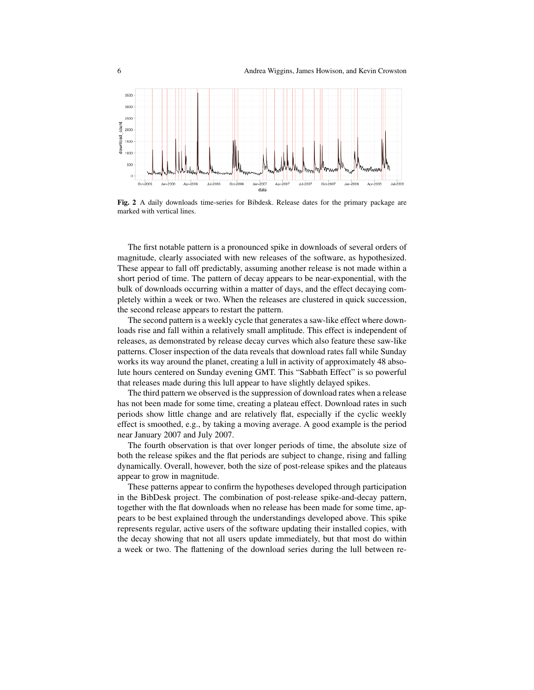

Fig. 2 A daily downloads time-series for Bibdesk. Release dates for the primary package are marked with vertical lines.

The first notable pattern is a pronounced spike in downloads of several orders of magnitude, clearly associated with new releases of the software, as hypothesized. These appear to fall off predictably, assuming another release is not made within a short period of time. The pattern of decay appears to be near-exponential, with the bulk of downloads occurring within a matter of days, and the effect decaying completely within a week or two. When the releases are clustered in quick succession, the second release appears to restart the pattern.

The second pattern is a weekly cycle that generates a saw-like effect where downloads rise and fall within a relatively small amplitude. This effect is independent of releases, as demonstrated by release decay curves which also feature these saw-like patterns. Closer inspection of the data reveals that download rates fall while Sunday works its way around the planet, creating a lull in activity of approximately 48 absolute hours centered on Sunday evening GMT. This "Sabbath Effect" is so powerful that releases made during this lull appear to have slightly delayed spikes.

The third pattern we observed is the suppression of download rates when a release has not been made for some time, creating a plateau effect. Download rates in such periods show little change and are relatively flat, especially if the cyclic weekly effect is smoothed, e.g., by taking a moving average. A good example is the period near January 2007 and July 2007.

The fourth observation is that over longer periods of time, the absolute size of both the release spikes and the flat periods are subject to change, rising and falling dynamically. Overall, however, both the size of post-release spikes and the plateaus appear to grow in magnitude.

These patterns appear to confirm the hypotheses developed through participation in the BibDesk project. The combination of post-release spike-and-decay pattern, together with the flat downloads when no release has been made for some time, appears to be best explained through the understandings developed above. This spike represents regular, active users of the software updating their installed copies, with the decay showing that not all users update immediately, but that most do within a week or two. The flattening of the download series during the lull between re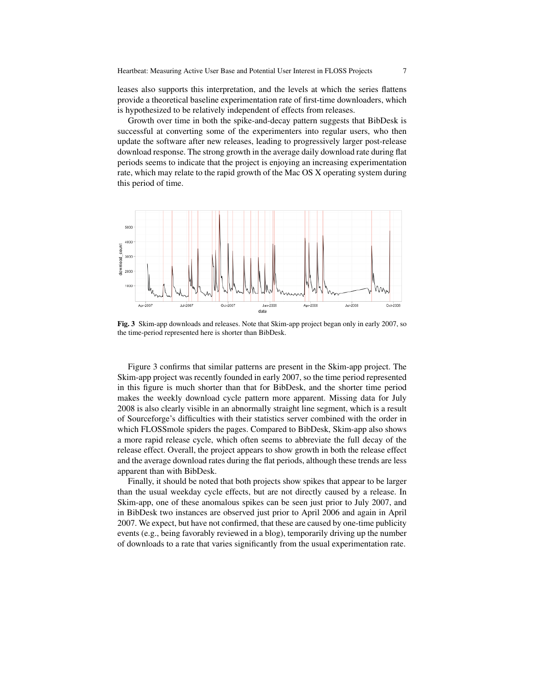leases also supports this interpretation, and the levels at which the series flattens provide a theoretical baseline experimentation rate of first-time downloaders, which is hypothesized to be relatively independent of effects from releases.

Growth over time in both the spike-and-decay pattern suggests that BibDesk is successful at converting some of the experimenters into regular users, who then update the software after new releases, leading to progressively larger post-release download response. The strong growth in the average daily download rate during flat periods seems to indicate that the project is enjoying an increasing experimentation rate, which may relate to the rapid growth of the Mac OS X operating system during this period of time.



Fig. 3 Skim-app downloads and releases. Note that Skim-app project began only in early 2007, so the time-period represented here is shorter than BibDesk.

Figure 3 confirms that similar patterns are present in the Skim-app project. The Skim-app project was recently founded in early 2007, so the time period represented in this figure is much shorter than that for BibDesk, and the shorter time period makes the weekly download cycle pattern more apparent. Missing data for July 2008 is also clearly visible in an abnormally straight line segment, which is a result of Sourceforge's difficulties with their statistics server combined with the order in which FLOSSmole spiders the pages. Compared to BibDesk, Skim-app also shows a more rapid release cycle, which often seems to abbreviate the full decay of the release effect. Overall, the project appears to show growth in both the release effect and the average download rates during the flat periods, although these trends are less apparent than with BibDesk.

Finally, it should be noted that both projects show spikes that appear to be larger than the usual weekday cycle effects, but are not directly caused by a release. In Skim-app, one of these anomalous spikes can be seen just prior to July 2007, and in BibDesk two instances are observed just prior to April 2006 and again in April 2007. We expect, but have not confirmed, that these are caused by one-time publicity events (e.g., being favorably reviewed in a blog), temporarily driving up the number of downloads to a rate that varies significantly from the usual experimentation rate.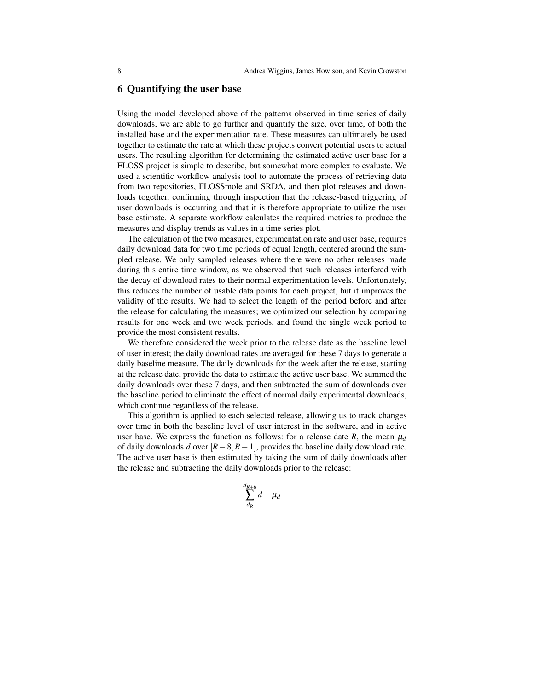#### 6 Quantifying the user base

Using the model developed above of the patterns observed in time series of daily downloads, we are able to go further and quantify the size, over time, of both the installed base and the experimentation rate. These measures can ultimately be used together to estimate the rate at which these projects convert potential users to actual users. The resulting algorithm for determining the estimated active user base for a FLOSS project is simple to describe, but somewhat more complex to evaluate. We used a scientific workflow analysis tool to automate the process of retrieving data from two repositories, FLOSSmole and SRDA, and then plot releases and downloads together, confirming through inspection that the release-based triggering of user downloads is occurring and that it is therefore appropriate to utilize the user base estimate. A separate workflow calculates the required metrics to produce the measures and display trends as values in a time series plot.

The calculation of the two measures, experimentation rate and user base, requires daily download data for two time periods of equal length, centered around the sampled release. We only sampled releases where there were no other releases made during this entire time window, as we observed that such releases interfered with the decay of download rates to their normal experimentation levels. Unfortunately, this reduces the number of usable data points for each project, but it improves the validity of the results. We had to select the length of the period before and after the release for calculating the measures; we optimized our selection by comparing results for one week and two week periods, and found the single week period to provide the most consistent results.

We therefore considered the week prior to the release date as the baseline level of user interest; the daily download rates are averaged for these 7 days to generate a daily baseline measure. The daily downloads for the week after the release, starting at the release date, provide the data to estimate the active user base. We summed the daily downloads over these 7 days, and then subtracted the sum of downloads over the baseline period to eliminate the effect of normal daily experimental downloads, which continue regardless of the release.

This algorithm is applied to each selected release, allowing us to track changes over time in both the baseline level of user interest in the software, and in active user base. We express the function as follows: for a release date *R*, the mean  $\mu_d$ of daily downloads *d* over [*R*−8,*R*−1], provides the baseline daily download rate. The active user base is then estimated by taking the sum of daily downloads after the release and subtracting the daily downloads prior to the release:

$$
\sum_{d_R}^{d_{R+6}}d-\mu_d
$$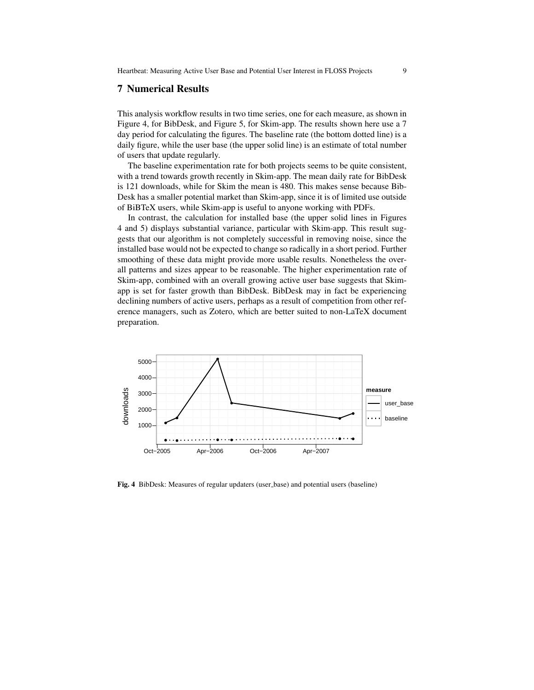#### 7 Numerical Results

This analysis workflow results in two time series, one for each measure, as shown in Figure 4, for BibDesk, and Figure 5, for Skim-app. The results shown here use a 7 day period for calculating the figures. The baseline rate (the bottom dotted line) is a daily figure, while the user base (the upper solid line) is an estimate of total number of users that update regularly.

The baseline experimentation rate for both projects seems to be quite consistent, with a trend towards growth recently in Skim-app. The mean daily rate for BibDesk is 121 downloads, while for Skim the mean is 480. This makes sense because Bib-Desk has a smaller potential market than Skim-app, since it is of limited use outside of BiBTeX users, while Skim-app is useful to anyone working with PDFs.

In contrast, the calculation for installed base (the upper solid lines in Figures 4 and 5) displays substantial variance, particular with Skim-app. This result suggests that our algorithm is not completely successful in removing noise, since the installed base would not be expected to change so radically in a short period. Further smoothing of these data might provide more usable results. Nonetheless the overall patterns and sizes appear to be reasonable. The higher experimentation rate of Skim-app, combined with an overall growing active user base suggests that Skimapp is set for faster growth than BibDesk. BibDesk may in fact be experiencing declining numbers of active users, perhaps as a result of competition from other reference managers, such as Zotero, which are better suited to non-LaTeX document preparation.



Fig. 4 BibDesk: Measures of regular updaters (user\_base) and potential users (baseline)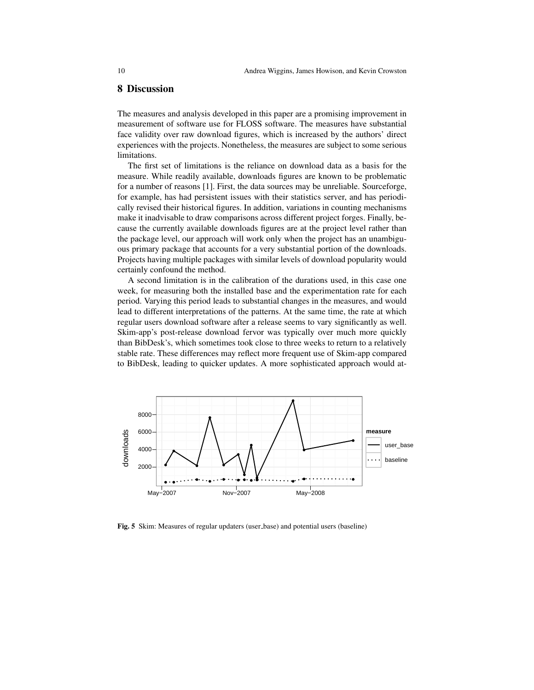## 8 Discussion

The measures and analysis developed in this paper are a promising improvement in measurement of software use for FLOSS software. The measures have substantial face validity over raw download figures, which is increased by the authors' direct experiences with the projects. Nonetheless, the measures are subject to some serious limitations.

The first set of limitations is the reliance on download data as a basis for the measure. While readily available, downloads figures are known to be problematic for a number of reasons [1]. First, the data sources may be unreliable. Sourceforge, for example, has had persistent issues with their statistics server, and has periodically revised their historical figures. In addition, variations in counting mechanisms make it inadvisable to draw comparisons across different project forges. Finally, because the currently available downloads figures are at the project level rather than the package level, our approach will work only when the project has an unambiguous primary package that accounts for a very substantial portion of the downloads. Projects having multiple packages with similar levels of download popularity would certainly confound the method.

A second limitation is in the calibration of the durations used, in this case one week, for measuring both the installed base and the experimentation rate for each period. Varying this period leads to substantial changes in the measures, and would lead to different interpretations of the patterns. At the same time, the rate at which regular users download software after a release seems to vary significantly as well. Skim-app's post-release download fervor was typically over much more quickly than BibDesk's, which sometimes took close to three weeks to return to a relatively stable rate. These differences may reflect more frequent use of Skim-app compared to BibDesk, leading to quicker updates. A more sophisticated approach would at-



Fig. 5 Skim: Measures of regular updaters (user base) and potential users (baseline)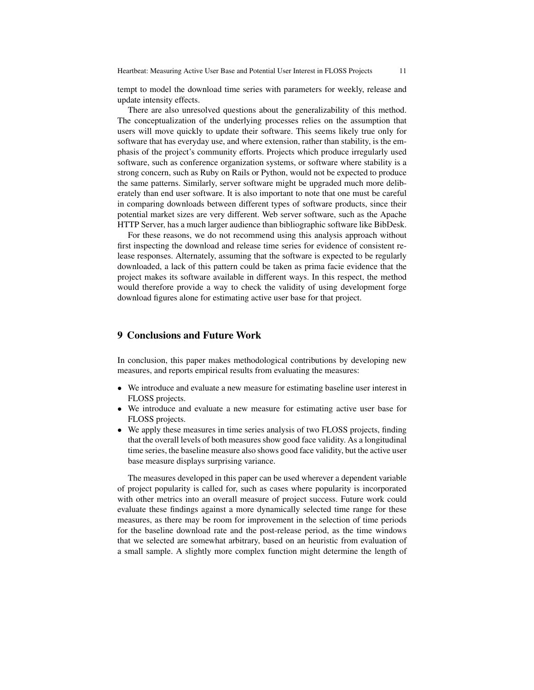tempt to model the download time series with parameters for weekly, release and update intensity effects.

There are also unresolved questions about the generalizability of this method. The conceptualization of the underlying processes relies on the assumption that users will move quickly to update their software. This seems likely true only for software that has everyday use, and where extension, rather than stability, is the emphasis of the project's community efforts. Projects which produce irregularly used software, such as conference organization systems, or software where stability is a strong concern, such as Ruby on Rails or Python, would not be expected to produce the same patterns. Similarly, server software might be upgraded much more deliberately than end user software. It is also important to note that one must be careful in comparing downloads between different types of software products, since their potential market sizes are very different. Web server software, such as the Apache HTTP Server, has a much larger audience than bibliographic software like BibDesk.

For these reasons, we do not recommend using this analysis approach without first inspecting the download and release time series for evidence of consistent release responses. Alternately, assuming that the software is expected to be regularly downloaded, a lack of this pattern could be taken as prima facie evidence that the project makes its software available in different ways. In this respect, the method would therefore provide a way to check the validity of using development forge download figures alone for estimating active user base for that project.

### 9 Conclusions and Future Work

In conclusion, this paper makes methodological contributions by developing new measures, and reports empirical results from evaluating the measures:

- We introduce and evaluate a new measure for estimating baseline user interest in FLOSS projects.
- We introduce and evaluate a new measure for estimating active user base for FLOSS projects.
- We apply these measures in time series analysis of two FLOSS projects, finding that the overall levels of both measures show good face validity. As a longitudinal time series, the baseline measure also shows good face validity, but the active user base measure displays surprising variance.

The measures developed in this paper can be used wherever a dependent variable of project popularity is called for, such as cases where popularity is incorporated with other metrics into an overall measure of project success. Future work could evaluate these findings against a more dynamically selected time range for these measures, as there may be room for improvement in the selection of time periods for the baseline download rate and the post-release period, as the time windows that we selected are somewhat arbitrary, based on an heuristic from evaluation of a small sample. A slightly more complex function might determine the length of